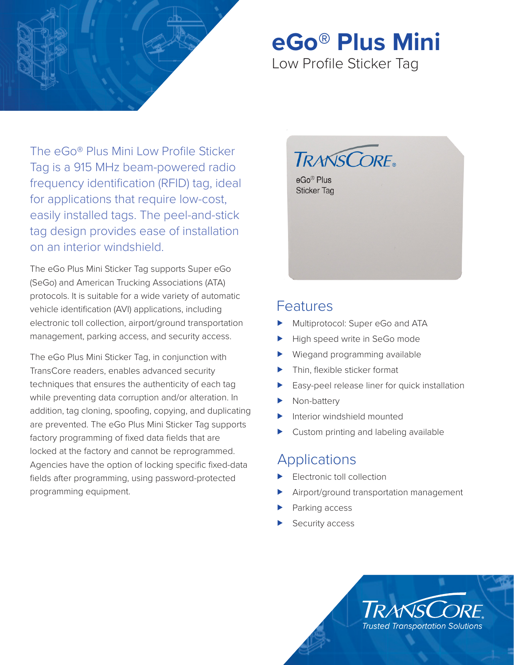

# **eGo® Plus Mini**

Low Profile Sticker Tag

The eGo® Plus Mini Low Profile Sticker Tag is a 915 MHz beam-powered radio frequency identification (RFID) tag, ideal for applications that require low-cost, easily installed tags. The peel-and-stick tag design provides ease of installation on an interior windshield.

The eGo Plus Mini Sticker Tag supports Super eGo (SeGo) and American Trucking Associations (ATA) protocols. It is suitable for a wide variety of automatic vehicle identification (AVI) applications, including electronic toll collection, airport/ground transportation management, parking access, and security access.

The eGo Plus Mini Sticker Tag, in conjunction with TransCore readers, enables advanced security techniques that ensures the authenticity of each tag while preventing data corruption and/or alteration. In addition, tag cloning, spoofing, copying, and duplicating are prevented. The eGo Plus Mini Sticker Tag supports factory programming of fixed data fields that are locked at the factory and cannot be reprogrammed. Agencies have the option of locking specific fixed-data fields after programming, using password-protected programming equipment.



### Features

- Multiprotocol: Super eGo and ATA
- High speed write in SeGo mode
- Wiegand programming available
- Thin, flexible sticker format
- Easy-peel release liner for quick installation
- Non-battery
- Interior windshield mounted
- Custom printing and labeling available

## Applications

- Electronic toll collection
- Airport/ground transportation management
- Parking access
- Security access